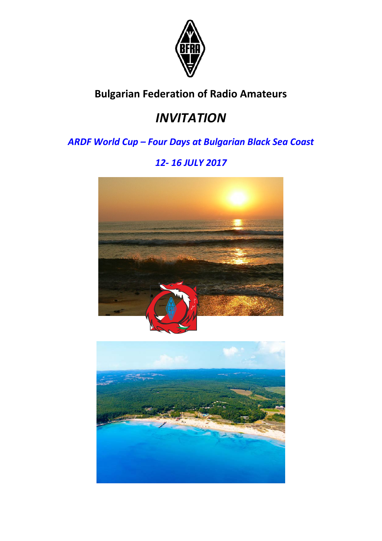

# **Bulgarian Federation of Radio Amateurs**

# *INVITATION*

# *ARDF World Cup – Four Days at Bulgarian Black Sea Coast*

# *12- 16 JULY 2017*

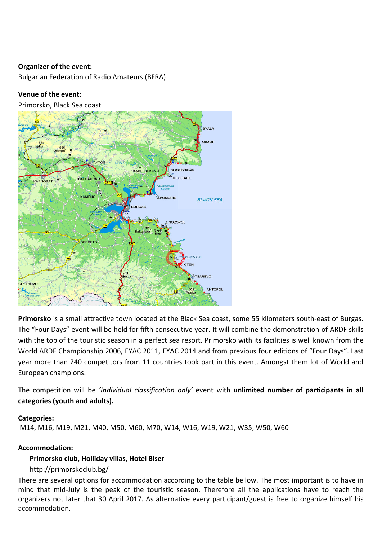#### **Organizer of the event:**

Bulgarian Federation of Radio Amateurs (BFRA)

#### **Venue of the event:**

Primorsko, Black Sea coast



**Primorsko** is a small attractive town located at the Black Sea coast, some 55 kilometers south-east of [Burgas.](http://www.tstravel.net/car-hire-bourgas-airport.html) The "Four Days" event will be held for fifth consecutive year. It will combine the demonstration of ARDF skills with the top of the touristic season in a perfect sea resort. Primorsko with its facilities is well known from the World ARDF Championship 2006, EYAC 2011, EYAC 2014 and from previous four editions of "Four Days". Last year more than 240 competitors from 11 countries took part in this event. Amongst them lot of World and European champions.

The competition will be *'Individual classification only'* event with **unlimited number of participants in all categories (youth and adults).** 

#### **Categories:**

M14, M16, M19, M21, M40, M50, M60, M70, W14, W16, W19, W21, W35, W50, W60

#### **Accommodation:**

#### **Primorsko club, Holliday villas, Hotel Biser**

#### http://primorskoclub.bg/

There are several options for accommodation according to the table bellow. The most important is to have in mind that mid-July is the peak of the touristic season. Therefore all the applications have to reach the organizers not later that 30 April 2017. As alternative every participant/guest is free to organize himself his accommodation.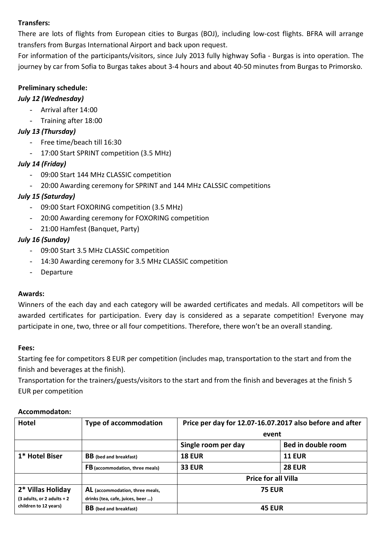# **Transfers:**

There are lots of flights from European cities to Burgas (BOJ), including low-cost flights. BFRA will arrange transfers from Burgas International Airport and back upon request.

For information of the participants/visitors, since July 2013 fully highway Sofia - Burgas is into operation. The journey by car from Sofia to Burgas takes about 3-4 hours and about 40-50 minutes from Burgas to Primorsko.

### **Preliminary schedule:**

### *July 12 (Wednesday)*

- Arrival after 14:00
- Training after 18:00

# *July 13 (Thursday)*

- Free time/beach till 16:30
- 17:00 Start SPRINT competition (3.5 MHz)

# *July 14 (Friday)*

- 09:00 Start 144 MHz CLASSIC competition
- 20:00 Awarding ceremony for SPRINT and 144 MHz CALSSIC competitions

# *July 15 (Saturday)*

- 09:00 Start FOXORING competition (3.5 MHz)
- 20:00 Awarding ceremony for FOXORING competition
- 21:00 Hamfest (Banquet, Party)

# *July 16 (Sunday)*

- 09:00 Start 3.5 MHz CLASSIC competition
- 14:30 Awarding ceremony for 3.5 MHz CLASSIC competition
- Departure

#### **Awards:**

Winners of the each day and each category will be awarded certificates and medals. All competitors will be awarded certificates for participation. Every day is considered as a separate competition! Everyone may participate in one, two, three or all four competitions. Therefore, there won't be an overall standing.

#### **Fees:**

Starting fee for competitors 8 EUR per competition (includes map, transportation to the start and from the finish and beverages at the finish).

Transportation for the trainers/guests/visitors to the start and from the finish and beverages at the finish 5 EUR per competition

| <b>Hotel</b>                                          | <b>Type of accommodation</b>           | Price per day for 12.07-16.07.2017 also before and after |                    |
|-------------------------------------------------------|----------------------------------------|----------------------------------------------------------|--------------------|
|                                                       |                                        | event                                                    |                    |
|                                                       |                                        | Single room per day                                      | Bed in double room |
| 1* Hotel Biser                                        | <b>BB</b> (bed and breakfast)          | <b>18 EUR</b>                                            | <b>11 EUR</b>      |
|                                                       | <b>FB</b> (accommodation, three meals) | <b>33 EUR</b>                                            | <b>28 EUR</b>      |
|                                                       |                                        | <b>Price for all Villa</b>                               |                    |
| 2* Villas Holiday                                     | AL (accommodation, three meals,        | <b>75 EUR</b>                                            |                    |
| $(3$ adults, or 2 adults + 2<br>children to 12 years) | drinks (tea, cafe, juices, beer )      |                                                          |                    |
|                                                       | <b>BB</b> (bed and breakfast)          | <b>45 EUR</b>                                            |                    |

#### **Accommodaton:**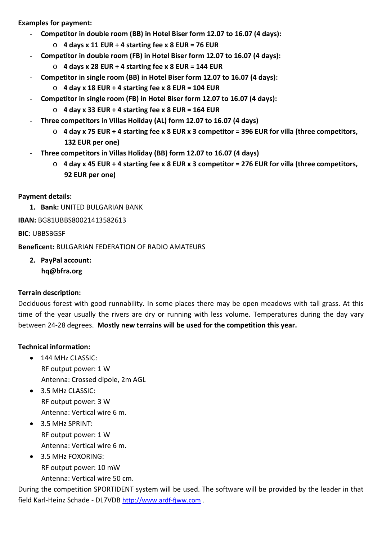**Еxamples for payment:**

- **Competitor in double room (BB) in Hotel Biser form 12.07 to 16.07 (4 days):**
	- o **4 days х 11 EUR + 4 starting fee x 8 EUR = 76 EUR**
- **Competitor in double room (FB) in Hotel Biser form 12.07 to 16.07 (4 days):**
	- o **4 days х 28 EUR + 4 starting fee x 8 EUR = 144 EUR**
- **Competitor in single room (BB) in Hotel Biser form 12.07 to 16.07 (4 days):**
	- o **4 day x 18 EUR + 4 starting fee x 8 EUR = 104 EUR**
- **Competitor in single room (FB) in Hotel Biser form 12.07 to 16.07 (4 days):**
	- o **4 day x 33 EUR + 4 starting fee x 8 EUR = 164 EUR**
- **Three competitors in Villas Holiday (AL) form 12.07 to 16.07 (4 days)**
	- o **4 day x 75 EUR + 4 starting fee x 8 EUR х 3 competitor = 396 EUR for villa (three competitors, 132 EUR per one)**
- **Three competitors in Villas Holiday (BB) form 12.07 to 16.07 (4 days)**
	- o **4 day x 45 EUR + 4 starting fee x 8 EUR х 3 competitor = 276 EUR for villa (three competitors, 92 EUR per one)**

# **Payment details:**

**1. Bank:** UNITED BULGARIAN BANK

**IBAN:** BG81UBBS80021413582613

**BIC**: UBBSBGSF

**Beneficent:** BULGARIAN FEDERATION OF RADIO AMATEURS

**2. PayPal account: hq@bfra.org**

# **Terrain description:**

Deciduous forest with good runnability. In some places there may be open meadows with tall grass. At this time of the year usually the rivers are dry or running with less volume. Temperatures during the day vary between 24-28 degrees. **Mostly new terrains will be used for the competition this year.**

# **Technical information:**

- 144 MHz CLASSIC: RF output power: 1 W Antenna: Crossed dipole, 2m AGL
- 3.5 MHz CLASSIC: RF output power: 3 W Antenna: Vertical wire 6 m.
- 3.5 MHz SPRINT: RF output power: 1 W Antenna: Vertical wire 6 m.
- 3.5 MHz FOXORING: RF output power: 10 mW Antenna: Vertical wire 50 cm.

During the competition SPORTIDENT system will be used. The software will be provided by the leader in that field Karl-Heinz Schade - DL7VDB [http://www.ardf-fjww.com](http://www.ardf-fjww.com/) .